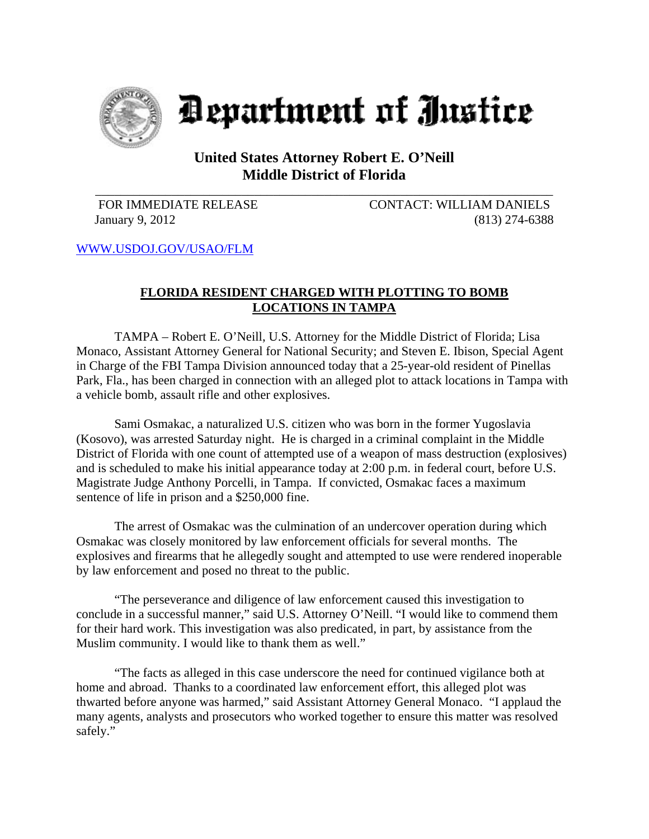

Department of Justice

## **United States Attorney Robert E. O'Neill Middle District of Florida**

\_\_\_\_\_\_\_\_\_\_\_\_\_\_\_\_\_\_\_\_\_\_\_\_\_\_\_\_\_\_\_\_\_\_\_\_\_\_\_\_\_\_\_\_\_\_\_\_\_\_\_\_\_\_\_\_\_\_\_\_\_\_\_\_\_\_\_\_\_\_\_\_

FOR IMMEDIATE RELEASE CONTACT: WILLIAM DANIELS January 9, 2012 (813) 274-6388

WWW.USDOJ.GOV/USAO/FLM

## **FLORIDA RESIDENT CHARGED WITH PLOTTING TO BOMB LOCATIONS IN TAMPA**

TAMPA – Robert E. O'Neill, U.S. Attorney for the Middle District of Florida; Lisa Monaco, Assistant Attorney General for National Security; and Steven E. Ibison, Special Agent in Charge of the FBI Tampa Division announced today that a 25-year-old resident of Pinellas Park, Fla., has been charged in connection with an alleged plot to attack locations in Tampa with a vehicle bomb, assault rifle and other explosives.

Sami Osmakac, a naturalized U.S. citizen who was born in the former Yugoslavia (Kosovo), was arrested Saturday night. He is charged in a criminal complaint in the Middle District of Florida with one count of attempted use of a weapon of mass destruction (explosives) and is scheduled to make his initial appearance today at 2:00 p.m. in federal court, before U.S. Magistrate Judge Anthony Porcelli, in Tampa. If convicted, Osmakac faces a maximum sentence of life in prison and a \$250,000 fine.

The arrest of Osmakac was the culmination of an undercover operation during which Osmakac was closely monitored by law enforcement officials for several months. The explosives and firearms that he allegedly sought and attempted to use were rendered inoperable by law enforcement and posed no threat to the public.

"The perseverance and diligence of law enforcement caused this investigation to conclude in a successful manner," said U.S. Attorney O'Neill. "I would like to commend them for their hard work. This investigation was also predicated, in part, by assistance from the Muslim community. I would like to thank them as well."

"The facts as alleged in this case underscore the need for continued vigilance both at home and abroad. Thanks to a coordinated law enforcement effort, this alleged plot was thwarted before anyone was harmed," said Assistant Attorney General Monaco. "I applaud the many agents, analysts and prosecutors who worked together to ensure this matter was resolved safely."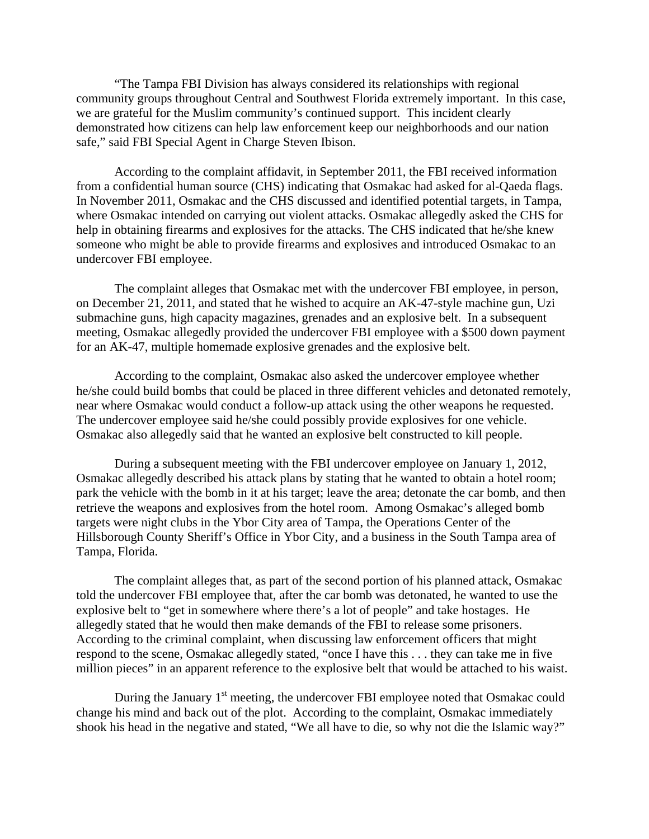"The Tampa FBI Division has always considered its relationships with regional community groups throughout Central and Southwest Florida extremely important. In this case, we are grateful for the Muslim community's continued support. This incident clearly demonstrated how citizens can help law enforcement keep our neighborhoods and our nation safe," said FBI Special Agent in Charge Steven Ibison.

According to the complaint affidavit, in September 2011, the FBI received information from a confidential human source (CHS) indicating that Osmakac had asked for al-Qaeda flags. In November 2011, Osmakac and the CHS discussed and identified potential targets, in Tampa, where Osmakac intended on carrying out violent attacks. Osmakac allegedly asked the CHS for help in obtaining firearms and explosives for the attacks. The CHS indicated that he/she knew someone who might be able to provide firearms and explosives and introduced Osmakac to an undercover FBI employee.

The complaint alleges that Osmakac met with the undercover FBI employee, in person, on December 21, 2011, and stated that he wished to acquire an AK-47-style machine gun, Uzi submachine guns, high capacity magazines, grenades and an explosive belt. In a subsequent meeting, Osmakac allegedly provided the undercover FBI employee with a \$500 down payment for an AK-47, multiple homemade explosive grenades and the explosive belt.

According to the complaint, Osmakac also asked the undercover employee whether he/she could build bombs that could be placed in three different vehicles and detonated remotely, near where Osmakac would conduct a follow-up attack using the other weapons he requested. The undercover employee said he/she could possibly provide explosives for one vehicle. Osmakac also allegedly said that he wanted an explosive belt constructed to kill people.

 During a subsequent meeting with the FBI undercover employee on January 1, 2012, Osmakac allegedly described his attack plans by stating that he wanted to obtain a hotel room; park the vehicle with the bomb in it at his target; leave the area; detonate the car bomb, and then retrieve the weapons and explosives from the hotel room. Among Osmakac's alleged bomb targets were night clubs in the Ybor City area of Tampa, the Operations Center of the Hillsborough County Sheriff's Office in Ybor City, and a business in the South Tampa area of Tampa, Florida.

 The complaint alleges that, as part of the second portion of his planned attack, Osmakac told the undercover FBI employee that, after the car bomb was detonated, he wanted to use the explosive belt to "get in somewhere where there's a lot of people" and take hostages. He allegedly stated that he would then make demands of the FBI to release some prisoners. According to the criminal complaint, when discussing law enforcement officers that might respond to the scene, Osmakac allegedly stated, "once I have this . . . they can take me in five million pieces" in an apparent reference to the explosive belt that would be attached to his waist.

During the January  $1<sup>st</sup>$  meeting, the undercover FBI employee noted that Osmakac could change his mind and back out of the plot. According to the complaint, Osmakac immediately shook his head in the negative and stated, "We all have to die, so why not die the Islamic way?"